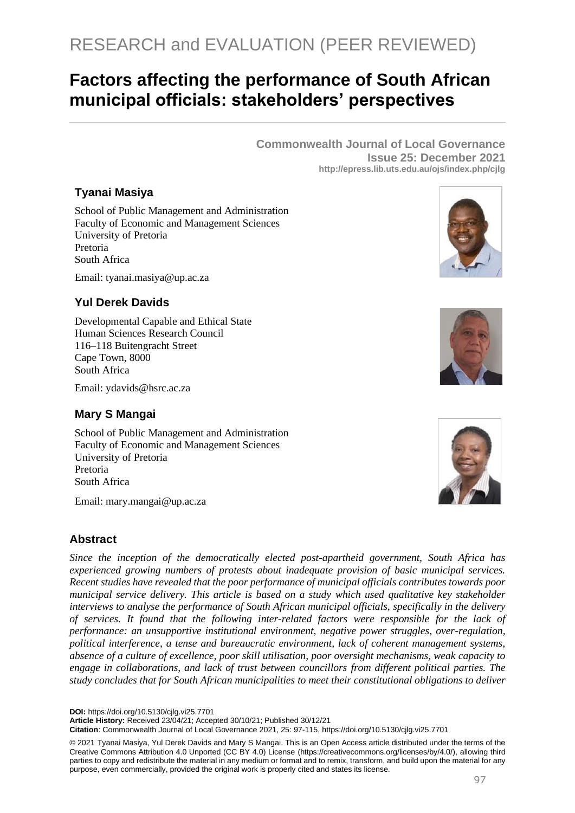# **Factors affecting the performance of South African municipal officials: stakeholders' perspectives**

**Commonwealth Journal of Local Governance Issue 25: December 2021 http://epress.lib.uts.edu.au/ojs/index.php/cjlg**

# **Tyanai Masiya**

School of Public Management and Administration Faculty of Economic and Management Sciences University of Pretoria Pretoria South Africa

Email: [tyanai.masiya@up.ac.za](mailto:tyanai.masiya@up.ac.za)

# **Yul Derek Davids**

Developmental Capable and Ethical State Human Sciences Research Council 116–118 Buitengracht Street Cape Town, 8000 South Africa

Email: [ydavids@hsrc.ac.za](mailto:ydavids@hsrc.ac.za)

## **Mary S Mangai**

School of Public Management and Administration Faculty of Economic and Management Sciences University of Pretoria Pretoria South Africa

Email: [mary.mangai@up.ac.za](mailto:mary.mangai@up.ac.za)

## **Abstract**

*Since the inception of the democratically elected post-apartheid government, South Africa has experienced growing numbers of protests about inadequate provision of basic municipal services. Recent studies have revealed that the poor performance of municipal officials contributes towards poor municipal service delivery. This article is based on a study which used qualitative key stakeholder interviews to analyse the performance of South African municipal officials, specifically in the delivery of services. It found that the following inter-related factors were responsible for the lack of performance: an unsupportive institutional environment, negative power struggles, over-regulation, political interference, a tense and bureaucratic environment, lack of coherent management systems, absence of a culture of excellence, poor skill utilisation, poor oversight mechanisms, weak capacity to engage in collaborations, and lack of trust between councillors from different political parties. The study concludes that for South African municipalities to meet their constitutional obligations to deliver* 

**DOI:** https://doi.org/10.5130/cjlg.vi25.7701

**Article History:** Received 23/04/21; Accepted 30/10/21; Published 30/12/21

**Citation**: Commonwealth Journal of Local Governance 2021, 25: 97-115, https://doi.org/10.5130/cjlg.vi25.7701







<sup>© 2021</sup> Tyanai Masiya, Yul Derek Davids and Mary S Mangai. This is an Open Access article distributed under the terms of the Creative Commons Attribution 4.0 Unported (CC BY 4.0) License [\(https://creativecommons.org/licenses/by/4.0/\)](https://creativecommons.org/licenses/by/4.0/), allowing third parties to copy and redistribute the material in any medium or format and to remix, transform, and build upon the material for any purpose, even commercially, provided the original work is properly cited and states its license.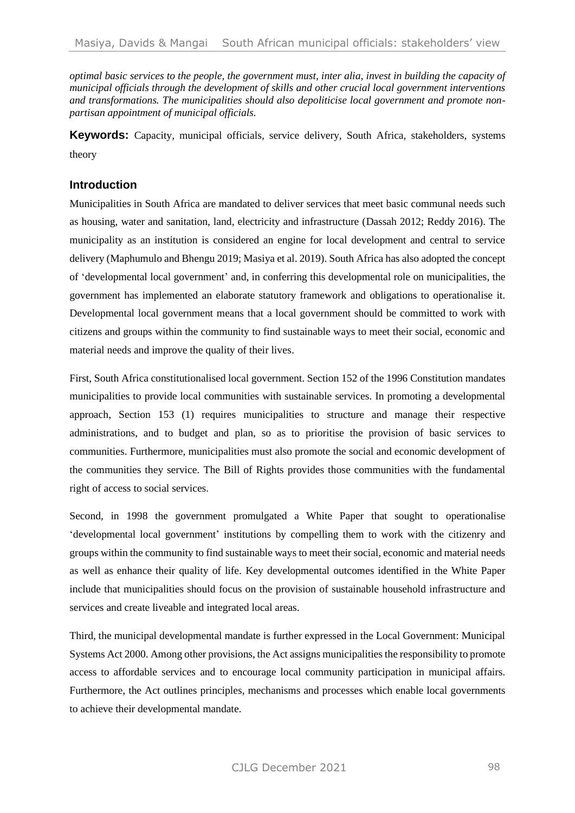*optimal basic services to the people, the government must, inter alia, invest in building the capacity of municipal officials through the development of skills and other crucial local government interventions and transformations. The municipalities should also depoliticise local government and promote nonpartisan appointment of municipal officials.*

**Keywords:** Capacity, municipal officials, service delivery, South Africa, stakeholders, systems theory

## **Introduction**

Municipalities in South Africa are mandated to deliver services that meet basic communal needs such as housing, water and sanitation, land, electricity and infrastructure (Dassah 2012; Reddy 2016). The municipality as an institution is considered an engine for local development and central to service delivery (Maphumulo and Bhengu 2019; Masiya et al. 2019). South Africa has also adopted the concept of 'developmental local government' and, in conferring this developmental role on municipalities, the government has implemented an elaborate statutory framework and obligations to operationalise it. Developmental local government means that a local government should be committed to work with citizens and groups within the community to find sustainable ways to meet their social, economic and material needs and improve the quality of their lives.

First, South Africa constitutionalised local government. Section 152 of the 1996 Constitution mandates municipalities to provide local communities with sustainable services. In promoting a developmental approach, Section 153 (1) requires municipalities to structure and manage their respective administrations, and to budget and plan, so as to prioritise the provision of basic services to communities. Furthermore, municipalities must also promote the social and economic development of the communities they service. The Bill of Rights provides those communities with the fundamental right of access to social services.

Second, in 1998 the government promulgated a White Paper that sought to operationalise 'developmental local government' institutions by compelling them to work with the citizenry and groups within the community to find sustainable ways to meet their social, economic and material needs as well as enhance their quality of life. Key developmental outcomes identified in the White Paper include that municipalities should focus on the provision of sustainable household infrastructure and services and create liveable and integrated local areas.

Third, the municipal developmental mandate is further expressed in the Local Government: Municipal Systems Act 2000. Among other provisions, the Act assigns municipalities the responsibility to promote access to affordable services and to encourage local community participation in municipal affairs. Furthermore, the Act outlines principles, mechanisms and processes which enable local governments to achieve their developmental mandate.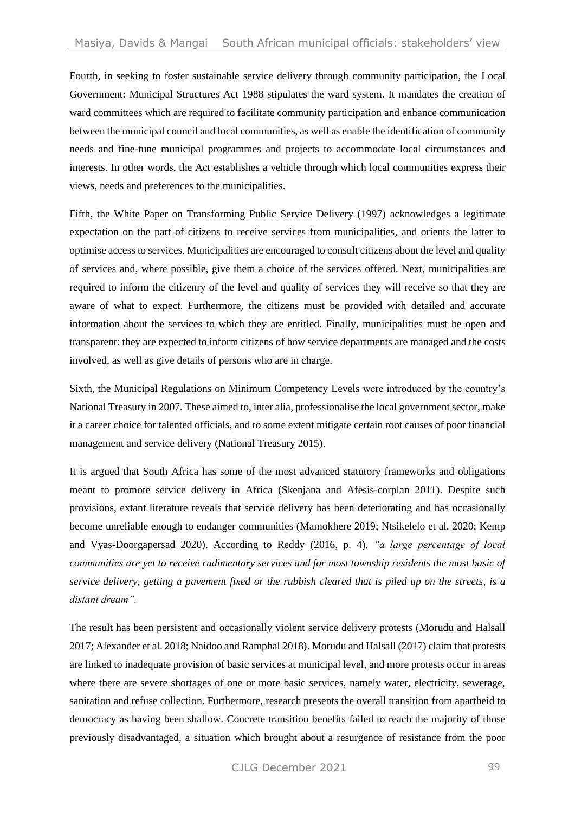Fourth, in seeking to foster sustainable service delivery through community participation, the Local Government: Municipal Structures Act 1988 stipulates the ward system. It mandates the creation of ward committees which are required to facilitate community participation and enhance communication between the municipal council and local communities, as well as enable the identification of community needs and fine-tune municipal programmes and projects to accommodate local circumstances and interests. In other words, the Act establishes a vehicle through which local communities express their views, needs and preferences to the municipalities.

Fifth, the White Paper on Transforming Public Service Delivery (1997) acknowledges a legitimate expectation on the part of citizens to receive services from municipalities, and orients the latter to optimise access to services. Municipalities are encouraged to consult citizens about the level and quality of services and, where possible, give them a choice of the services offered. Next, municipalities are required to inform the citizenry of the level and quality of services they will receive so that they are aware of what to expect. Furthermore, the citizens must be provided with detailed and accurate information about the services to which they are entitled. Finally, municipalities must be open and transparent: they are expected to inform citizens of how service departments are managed and the costs involved, as well as give details of persons who are in charge.

Sixth, the Municipal Regulations on Minimum Competency Levels were introduced by the country's National Treasury in 2007. These aimed to, inter alia, professionalise the local government sector, make it a career choice for talented officials, and to some extent mitigate certain root causes of poor financial management and service delivery (National Treasury 2015).

It is argued that South Africa has some of the most advanced statutory frameworks and obligations meant to promote service delivery in Africa (Skenjana and Afesis-corplan 2011). Despite such provisions, extant literature reveals that service delivery has been deteriorating and has occasionally become unreliable enough to endanger communities (Mamokhere 2019; Ntsikelelo et al. 2020; Kemp and Vyas-Doorgapersad 2020). According to Reddy (2016, p. 4), *"a large percentage of local communities are yet to receive rudimentary services and for most township residents the most basic of service delivery, getting a pavement fixed or the rubbish cleared that is piled up on the streets, is a distant dream".*

The result has been persistent and occasionally violent service delivery protests (Morudu and Halsall 2017; Alexander et al. 2018; Naidoo and Ramphal 2018). Morudu and Halsall (2017) claim that protests are linked to inadequate provision of basic services at municipal level, and more protests occur in areas where there are severe shortages of one or more basic services, namely water, electricity, sewerage, sanitation and refuse collection. Furthermore, research presents the overall transition from apartheid to democracy as having been shallow. Concrete transition benefits failed to reach the majority of those previously disadvantaged, a situation which brought about a resurgence of resistance from the poor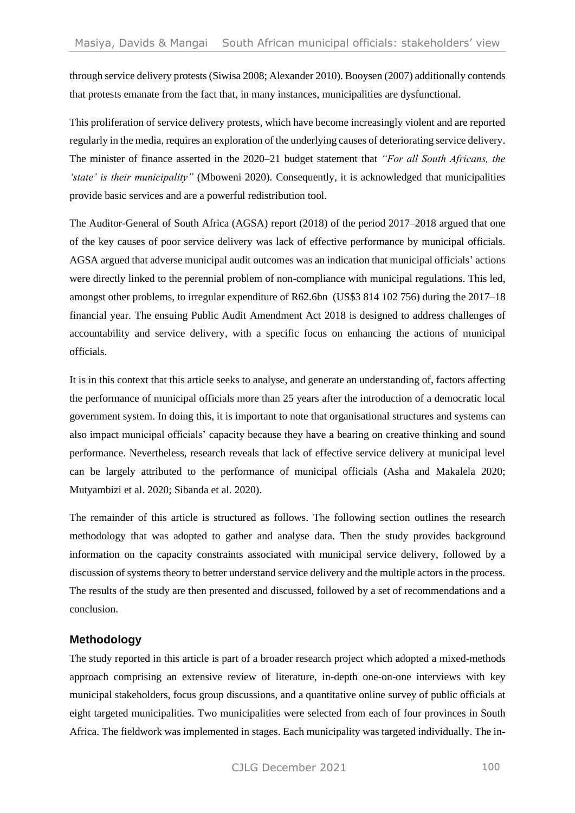through service delivery protests (Siwisa 2008; Alexander 2010). Booysen (2007) additionally contends that protests emanate from the fact that, in many instances, municipalities are dysfunctional.

This proliferation of service delivery protests, which have become increasingly violent and are reported regularly in the media, requires an exploration of the underlying causes of deteriorating service delivery. The minister of finance asserted in the 2020–21 budget statement that *"For all South Africans, the 'state' is their municipality"* (Mboweni 2020)*.* Consequently, it is acknowledged that municipalities provide basic services and are a powerful redistribution tool.

The Auditor-General of South Africa (AGSA) report (2018) of the period 2017–2018 argued that one of the key causes of poor service delivery was lack of effective performance by municipal officials. AGSA argued that adverse municipal audit outcomes was an indication that municipal officials' actions were directly linked to the perennial problem of non-compliance with municipal regulations. This led, amongst other problems, to irregular expenditure of R62.6bn (US\$3 814 102 756) during the 2017–18 financial year. The ensuing Public Audit Amendment Act 2018 is designed to address challenges of accountability and service delivery, with a specific focus on enhancing the actions of municipal officials.

It is in this context that this article seeks to analyse, and generate an understanding of, factors affecting the performance of municipal officials more than 25 years after the introduction of a democratic local government system. In doing this, it is important to note that organisational structures and systems can also impact municipal officials' capacity because they have a bearing on creative thinking and sound performance. Nevertheless, research reveals that lack of effective service delivery at municipal level can be largely attributed to the performance of municipal officials (Asha and Makalela 2020; Mutyambizi et al. 2020; Sibanda et al. 2020).

The remainder of this article is structured as follows. The following section outlines the research methodology that was adopted to gather and analyse data. Then the study provides background information on the capacity constraints associated with municipal service delivery, followed by a discussion of systems theory to better understand service delivery and the multiple actors in the process. The results of the study are then presented and discussed, followed by a set of recommendations and a conclusion.

# **Methodology**

The study reported in this article is part of a broader research project which adopted a mixed-methods approach comprising an extensive review of literature, in-depth one-on-one interviews with key municipal stakeholders, focus group discussions, and a quantitative online survey of public officials at eight targeted municipalities. Two municipalities were selected from each of four provinces in South Africa. The fieldwork was implemented in stages. Each municipality was targeted individually. The in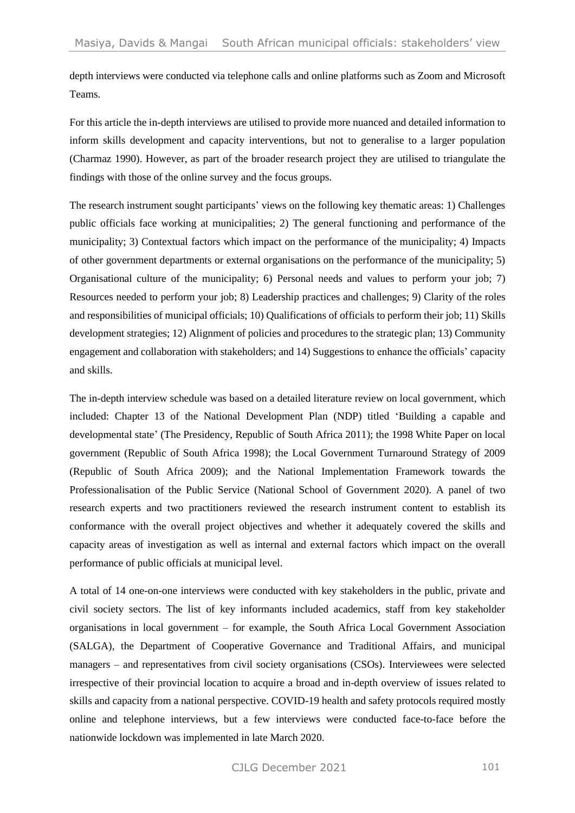depth interviews were conducted via telephone calls and online platforms such as Zoom and Microsoft Teams.

For this article the in-depth interviews are utilised to provide more nuanced and detailed information to inform skills development and capacity interventions, but not to generalise to a larger population (Charmaz 1990). However, as part of the broader research project they are utilised to triangulate the findings with those of the online survey and the focus groups.

The research instrument sought participants' views on the following key thematic areas: 1) Challenges public officials face working at municipalities; 2) The general functioning and performance of the municipality; 3) Contextual factors which impact on the performance of the municipality; 4) Impacts of other government departments or external organisations on the performance of the municipality; 5) Organisational culture of the municipality; 6) Personal needs and values to perform your job; 7) Resources needed to perform your job; 8) Leadership practices and challenges; 9) Clarity of the roles and responsibilities of municipal officials; 10) Qualifications of officials to perform their job; 11) Skills development strategies; 12) Alignment of policies and procedures to the strategic plan; 13) Community engagement and collaboration with stakeholders; and 14) Suggestions to enhance the officials' capacity and skills.

The in-depth interview schedule was based on a detailed literature review on local government, which included: Chapter 13 of the National Development Plan (NDP) titled 'Building a capable and developmental state' (The Presidency, Republic of South Africa 2011); the 1998 White Paper on local government (Republic of South Africa 1998); the Local Government Turnaround Strategy of 2009 (Republic of South Africa 2009); and the National Implementation Framework towards the Professionalisation of the Public Service (National School of Government 2020). A panel of two research experts and two practitioners reviewed the research instrument content to establish its conformance with the overall project objectives and whether it adequately covered the skills and capacity areas of investigation as well as internal and external factors which impact on the overall performance of public officials at municipal level.

A total of 14 one-on-one interviews were conducted with key stakeholders in the public, private and civil society sectors. The list of key informants included academics, staff from key stakeholder organisations in local government – for example, the South Africa Local Government Association (SALGA), the Department of Cooperative Governance and Traditional Affairs, and municipal managers – and representatives from civil society organisations (CSOs). Interviewees were selected irrespective of their provincial location to acquire a broad and in-depth overview of issues related to skills and capacity from a national perspective. COVID-19 health and safety protocols required mostly online and telephone interviews, but a few interviews were conducted face-to-face before the nationwide lockdown was implemented in late March 2020.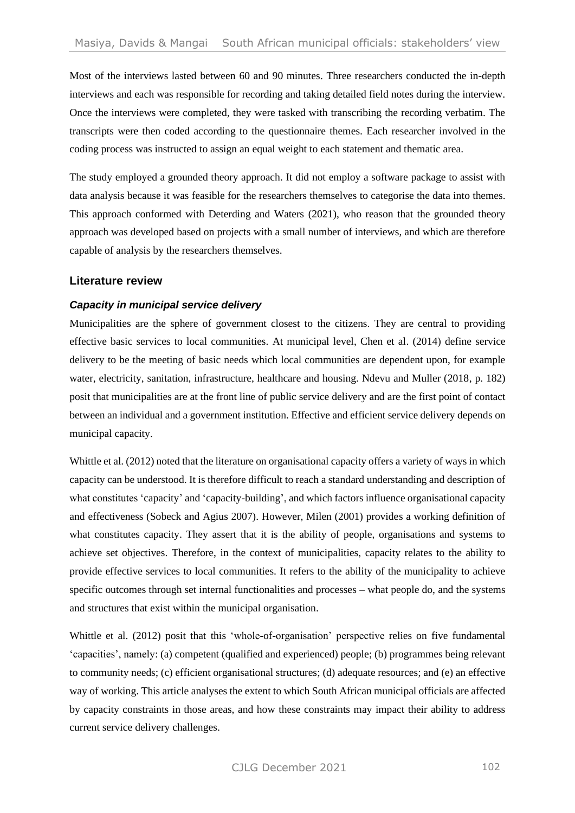Most of the interviews lasted between 60 and 90 minutes. Three researchers conducted the in-depth interviews and each was responsible for recording and taking detailed field notes during the interview. Once the interviews were completed, they were tasked with transcribing the recording verbatim. The transcripts were then coded according to the questionnaire themes. Each researcher involved in the coding process was instructed to assign an equal weight to each statement and thematic area.

The study employed a grounded theory approach. It did not employ a software package to assist with data analysis because it was feasible for the researchers themselves to categorise the data into themes. This approach conformed with Deterding and Waters (2021), who reason that the grounded theory approach was developed based on projects with a small number of interviews, and which are therefore capable of analysis by the researchers themselves.

## **Literature review**

#### *Capacity in municipal service delivery*

Municipalities are the sphere of government closest to the citizens. They are central to providing effective basic services to local communities. At municipal level, Chen et al. (2014) define service delivery to be the meeting of basic needs which local communities are dependent upon, for example water, electricity, sanitation, infrastructure, healthcare and housing. Ndevu and Muller (2018, p. 182) posit that municipalities are at the front line of public service delivery and are the first point of contact between an individual and a government institution. Effective and efficient service delivery depends on municipal capacity.

Whittle et al. (2012) noted that the literature on organisational capacity offers a variety of ways in which capacity can be understood. It is therefore difficult to reach a standard understanding and description of what constitutes 'capacity' and 'capacity-building', and which factors influence organisational capacity and effectiveness (Sobeck and Agius 2007). However, Milen (2001) provides a working definition of what constitutes capacity. They assert that it is the ability of people, organisations and systems to achieve set objectives. Therefore, in the context of municipalities, capacity relates to the ability to provide effective services to local communities. It refers to the ability of the municipality to achieve specific outcomes through set internal functionalities and processes – what people do, and the systems and structures that exist within the municipal organisation.

Whittle et al. (2012) posit that this 'whole-of-organisation' perspective relies on five fundamental 'capacities', namely: (a) competent (qualified and experienced) people; (b) programmes being relevant to community needs; (c) efficient organisational structures; (d) adequate resources; and (e) an effective way of working. This article analyses the extent to which South African municipal officials are affected by capacity constraints in those areas, and how these constraints may impact their ability to address current service delivery challenges.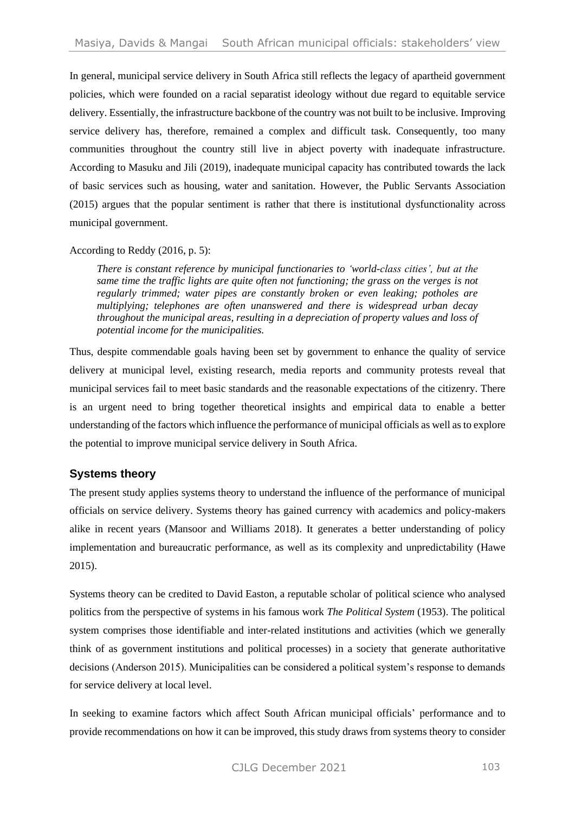In general, municipal service delivery in South Africa still reflects the legacy of apartheid government policies, which were founded on a racial separatist ideology without due regard to equitable service delivery. Essentially, the infrastructure backbone of the country was not built to be inclusive. Improving service delivery has, therefore, remained a complex and difficult task. Consequently, too many communities throughout the country still live in abject poverty with inadequate infrastructure. According to Masuku and Jili (2019), inadequate municipal capacity has contributed towards the lack of basic services such as housing, water and sanitation. However, the Public Servants Association (2015) argues that the popular sentiment is rather that there is institutional dysfunctionality across municipal government.

#### According to Reddy (2016, p. 5):

*There is constant reference by municipal functionaries to 'world-class cities', but at the same time the traffic lights are quite often not functioning; the grass on the verges is not regularly trimmed; water pipes are constantly broken or even leaking; potholes are multiplying; telephones are often unanswered and there is widespread urban decay throughout the municipal areas, resulting in a depreciation of property values and loss of potential income for the municipalities.*

Thus, despite commendable goals having been set by government to enhance the quality of service delivery at municipal level, existing research, media reports and community protests reveal that municipal services fail to meet basic standards and the reasonable expectations of the citizenry. There is an urgent need to bring together theoretical insights and empirical data to enable a better understanding of the factors which influence the performance of municipal officials as well as to explore the potential to improve municipal service delivery in South Africa.

# **Systems theory**

The present study applies systems theory to understand the influence of the performance of municipal officials on service delivery. Systems theory has gained currency with academics and policy-makers alike in recent years (Mansoor and Williams 2018). It generates a better understanding of policy implementation and bureaucratic performance, as well as its complexity and unpredictability (Hawe 2015).

Systems theory can be credited to David Easton, a reputable scholar of political science who analysed politics from the perspective of systems in his famous work *The Political System* (1953). The political system comprises those identifiable and inter-related institutions and activities (which we generally think of as government institutions and political processes) in a society that generate authoritative decisions (Anderson 2015). Municipalities can be considered a political system's response to demands for service delivery at local level.

In seeking to examine factors which affect South African municipal officials' performance and to provide recommendations on how it can be improved, this study draws from systems theory to consider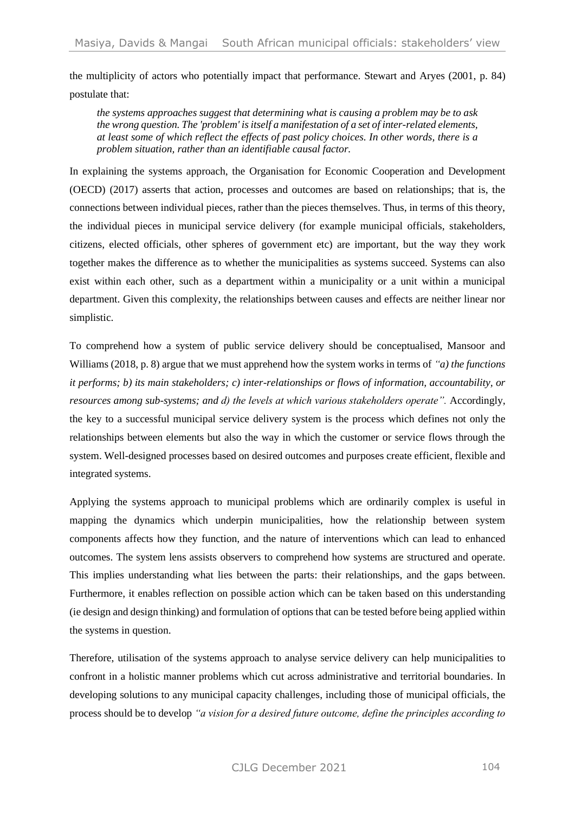the multiplicity of actors who potentially impact that performance. Stewart and Aryes (2001, p. 84) postulate that:

*the systems approaches suggest that determining what is causing a problem may be to ask the wrong question. The 'problem' is itself a manifestation of a set of inter-related elements, at least some of which reflect the effects of past policy choices. In other words, there is a problem situation, rather than an identifiable causal factor.*

In explaining the systems approach, the Organisation for Economic Cooperation and Development (OECD) (2017) asserts that action, processes and outcomes are based on relationships; that is, the connections between individual pieces, rather than the pieces themselves. Thus, in terms of this theory, the individual pieces in municipal service delivery (for example municipal officials, stakeholders, citizens, elected officials, other spheres of government etc) are important, but the way they work together makes the difference as to whether the municipalities as systems succeed. Systems can also exist within each other, such as a department within a municipality or a unit within a municipal department. Given this complexity, the relationships between causes and effects are neither linear nor simplistic.

To comprehend how a system of public service delivery should be conceptualised, Mansoor and Williams (2018, p. 8) argue that we must apprehend how the system works in terms of *"a) the functions it performs; b) its main stakeholders; c) inter-relationships or flows of information, accountability, or resources among sub-systems; and d) the levels at which various stakeholders operate".* Accordingly, the key to a successful municipal service delivery system is the process which defines not only the relationships between elements but also the way in which the customer or service flows through the system. Well-designed processes based on desired outcomes and purposes create efficient, flexible and integrated systems.

Applying the systems approach to municipal problems which are ordinarily complex is useful in mapping the dynamics which underpin municipalities, how the relationship between system components affects how they function, and the nature of interventions which can lead to enhanced outcomes. The system lens assists observers to comprehend how systems are structured and operate. This implies understanding what lies between the parts: their relationships, and the gaps between. Furthermore, it enables reflection on possible action which can be taken based on this understanding (ie design and design thinking) and formulation of options that can be tested before being applied within the systems in question.

Therefore, utilisation of the systems approach to analyse service delivery can help municipalities to confront in a holistic manner problems which cut across administrative and territorial boundaries. In developing solutions to any municipal capacity challenges, including those of municipal officials, the process should be to develop *"a vision for a desired future outcome, define the principles according to*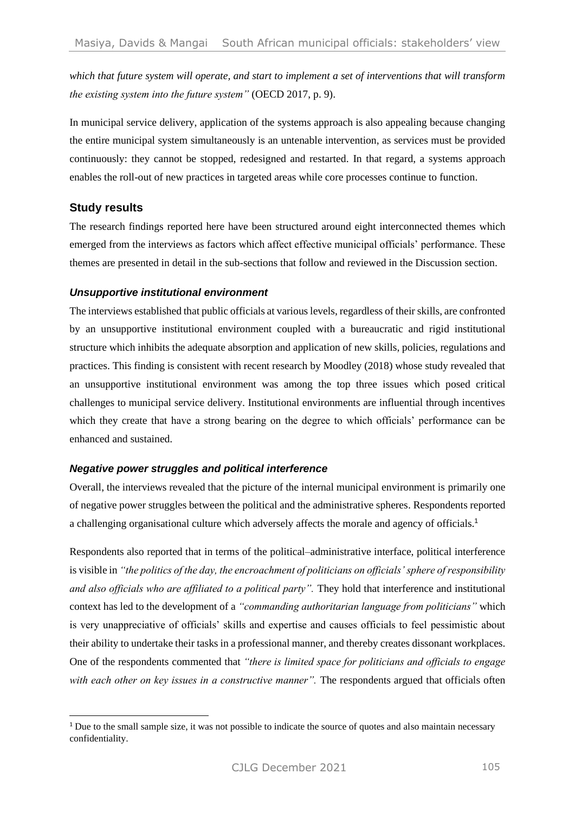*which that future system will operate, and start to implement a set of interventions that will transform the existing system into the future system"* (OECD 2017, p. 9).

In municipal service delivery, application of the systems approach is also appealing because changing the entire municipal system simultaneously is an untenable intervention, as services must be provided continuously: they cannot be stopped, redesigned and restarted. In that regard, a systems approach enables the roll-out of new practices in targeted areas while core processes continue to function.

## **Study results**

The research findings reported here have been structured around eight interconnected themes which emerged from the interviews as factors which affect effective municipal officials' performance. These themes are presented in detail in the sub-sections that follow and reviewed in the Discussion section.

#### *Unsupportive institutional environment*

The interviews established that public officials at various levels, regardless of their skills, are confronted by an unsupportive institutional environment coupled with a bureaucratic and rigid institutional structure which inhibits the adequate absorption and application of new skills, policies, regulations and practices. This finding is consistent with recent research by Moodley (2018) whose study revealed that an unsupportive institutional environment was among the top three issues which posed critical challenges to municipal service delivery. Institutional environments are influential through incentives which they create that have a strong bearing on the degree to which officials' performance can be enhanced and sustained.

#### *Negative power struggles and political interference*

Overall, the interviews revealed that the picture of the internal municipal environment is primarily one of negative power struggles between the political and the administrative spheres. Respondents reported a challenging organisational culture which adversely affects the morale and agency of officials.<sup>1</sup>

Respondents also reported that in terms of the political–administrative interface, political interference is visible in *"the politics of the day, the encroachment of politicians on officials' sphere of responsibility and also officials who are affiliated to a political party".* They hold that interference and institutional context has led to the development of a *"commanding authoritarian language from politicians"* which is very unappreciative of officials' skills and expertise and causes officials to feel pessimistic about their ability to undertake their tasks in a professional manner, and thereby creates dissonant workplaces. One of the respondents commented that *"there is limited space for politicians and officials to engage with each other on key issues in a constructive manner".* The respondents argued that officials often

<sup>&</sup>lt;sup>1</sup> Due to the small sample size, it was not possible to indicate the source of quotes and also maintain necessary confidentiality.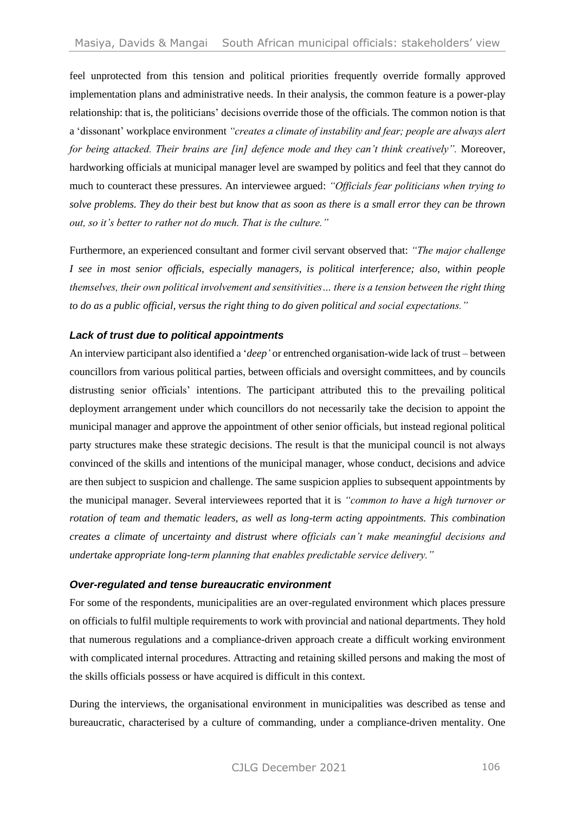feel unprotected from this tension and political priorities frequently override formally approved implementation plans and administrative needs. In their analysis, the common feature is a power-play relationship: that is, the politicians' decisions override those of the officials. The common notion is that a 'dissonant' workplace environment *"creates a climate of instability and fear; people are always alert for being attacked. Their brains are [in] defence mode and they can't think creatively".* Moreover, hardworking officials at municipal manager level are swamped by politics and feel that they cannot do much to counteract these pressures. An interviewee argued: *"Officials fear politicians when trying to solve problems. They do their best but know that as soon as there is a small error they can be thrown out, so it's better to rather not do much. That is the culture."*

Furthermore, an experienced consultant and former civil servant observed that: *"The major challenge I see in most senior officials, especially managers, is political interference; also, within people themselves, their own political involvement and sensitivities… there is a tension between the right thing to do as a public official, versus the right thing to do given political and social expectations."*

#### *Lack of trust due to political appointments*

An interview participant also identified a '*deep'* or entrenched organisation-wide lack of trust – between councillors from various political parties, between officials and oversight committees, and by councils distrusting senior officials' intentions. The participant attributed this to the prevailing political deployment arrangement under which councillors do not necessarily take the decision to appoint the municipal manager and approve the appointment of other senior officials, but instead regional political party structures make these strategic decisions. The result is that the municipal council is not always convinced of the skills and intentions of the municipal manager, whose conduct, decisions and advice are then subject to suspicion and challenge. The same suspicion applies to subsequent appointments by the municipal manager. Several interviewees reported that it is *"common to have a high turnover or rotation of team and thematic leaders, as well as long-term acting appointments. This combination creates a climate of uncertainty and distrust where officials can't make meaningful decisions and undertake appropriate long-term planning that enables predictable service delivery."* 

#### *Over-regulated and tense bureaucratic environment*

For some of the respondents, municipalities are an over-regulated environment which places pressure on officials to fulfil multiple requirements to work with provincial and national departments. They hold that numerous regulations and a compliance-driven approach create a difficult working environment with complicated internal procedures. Attracting and retaining skilled persons and making the most of the skills officials possess or have acquired is difficult in this context.

During the interviews, the organisational environment in municipalities was described as tense and bureaucratic, characterised by a culture of commanding, under a compliance-driven mentality. One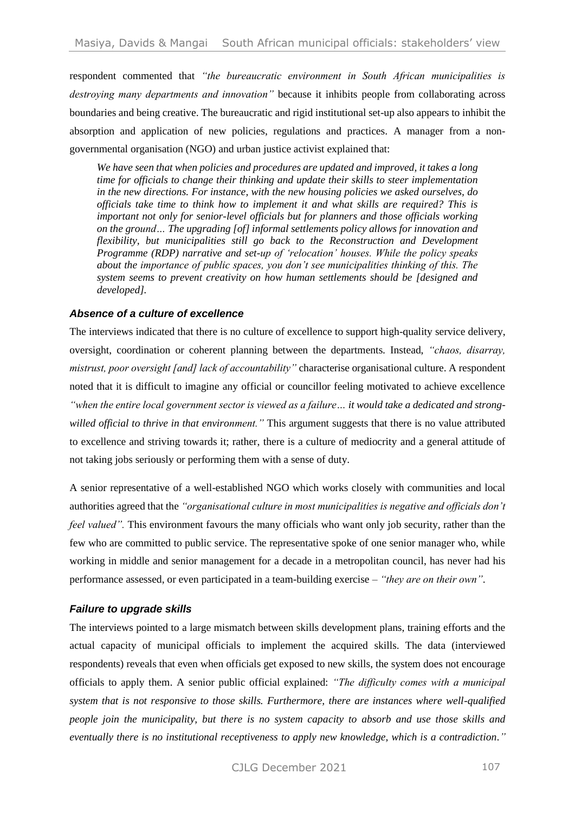respondent commented that *"the bureaucratic environment in South African municipalities is destroying many departments and innovation"* because it inhibits people from collaborating across boundaries and being creative. The bureaucratic and rigid institutional set-up also appears to inhibit the absorption and application of new policies, regulations and practices. A manager from a nongovernmental organisation (NGO) and urban justice activist explained that:

*We have seen that when policies and procedures are updated and improved, it takes a long time for officials to change their thinking and update their skills to steer implementation in the new directions. For instance, with the new housing policies we asked ourselves, do officials take time to think how to implement it and what skills are required? This is important not only for senior-level officials but for planners and those officials working on the ground… The upgrading [of] informal settlements policy allows for innovation and flexibility, but municipalities still go back to the Reconstruction and Development Programme (RDP) narrative and set-up of 'relocation' houses. While the policy speaks about the importance of public spaces, you don't see municipalities thinking of this. The system seems to prevent creativity on how human settlements should be [designed and developed].* 

#### *Absence of a culture of excellence*

The interviews indicated that there is no culture of excellence to support high-quality service delivery, oversight, coordination or coherent planning between the departments. Instead, *"chaos, disarray, mistrust, poor oversight [and] lack of accountability"* characterise organisational culture. A respondent noted that it is difficult to imagine any official or councillor feeling motivated to achieve excellence *"when the entire local government sector is viewed as a failure… it would take a dedicated and strongwilled official to thrive in that environment."* This argument suggests that there is no value attributed to excellence and striving towards it; rather, there is a culture of mediocrity and a general attitude of not taking jobs seriously or performing them with a sense of duty.

A senior representative of a well-established NGO which works closely with communities and local authorities agreed that the *"organisational culture in most municipalities is negative and officials don't feel valued"*. This environment favours the many officials who want only job security, rather than the few who are committed to public service. The representative spoke of one senior manager who, while working in middle and senior management for a decade in a metropolitan council, has never had his performance assessed, or even participated in a team-building exercise – *"they are on their own"*.

#### *Failure to upgrade skills*

The interviews pointed to a large mismatch between skills development plans, training efforts and the actual capacity of municipal officials to implement the acquired skills. The data (interviewed respondents) reveals that even when officials get exposed to new skills, the system does not encourage officials to apply them. A senior public official explained: *"The difficulty comes with a municipal system that is not responsive to those skills. Furthermore, there are instances where well-qualified people join the municipality, but there is no system capacity to absorb and use those skills and eventually there is no institutional receptiveness to apply new knowledge, which is a contradiction."*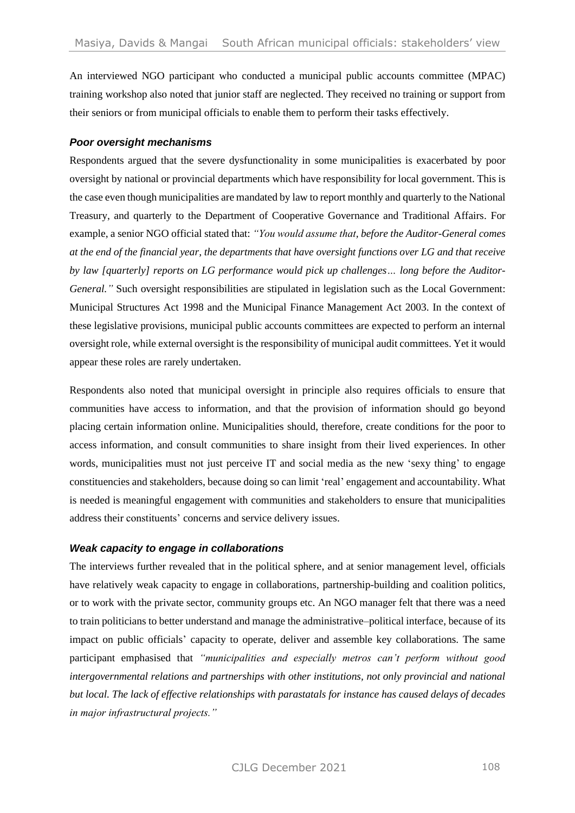An interviewed NGO participant who conducted a municipal public accounts committee (MPAC) training workshop also noted that junior staff are neglected. They received no training or support from their seniors or from municipal officials to enable them to perform their tasks effectively.

#### *Poor oversight mechanisms*

Respondents argued that the severe dysfunctionality in some municipalities is exacerbated by poor oversight by national or provincial departments which have responsibility for local government. This is the case even though municipalities are mandated by law to report monthly and quarterly to the National Treasury, and quarterly to the Department of Cooperative Governance and Traditional Affairs. For example, a senior NGO official stated that: *"You would assume that, before the Auditor-General comes at the end of the financial year, the departments that have oversight functions over LG and that receive by law [quarterly] reports on LG performance would pick up challenges… long before the Auditor-General.*" Such oversight responsibilities are stipulated in legislation such as the Local Government: Municipal Structures Act 1998 and the Municipal Finance Management Act 2003. In the context of these legislative provisions, municipal public accounts committees are expected to perform an internal oversight role, while external oversight is the responsibility of municipal audit committees. Yet it would appear these roles are rarely undertaken.

Respondents also noted that municipal oversight in principle also requires officials to ensure that communities have access to information, and that the provision of information should go beyond placing certain information online. Municipalities should, therefore, create conditions for the poor to access information, and consult communities to share insight from their lived experiences. In other words, municipalities must not just perceive IT and social media as the new 'sexy thing' to engage constituencies and stakeholders, because doing so can limit 'real' engagement and accountability. What is needed is meaningful engagement with communities and stakeholders to ensure that municipalities address their constituents' concerns and service delivery issues.

#### *Weak capacity to engage in collaborations*

The interviews further revealed that in the political sphere, and at senior management level, officials have relatively weak capacity to engage in collaborations, partnership-building and coalition politics, or to work with the private sector, community groups etc. An NGO manager felt that there was a need to train politicians to better understand and manage the administrative–political interface, because of its impact on public officials' capacity to operate, deliver and assemble key collaborations. The same participant emphasised that *"municipalities and especially metros can't perform without good intergovernmental relations and partnerships with other institutions, not only provincial and national but local. The lack of effective relationships with parastatals for instance has caused delays of decades in major infrastructural projects."*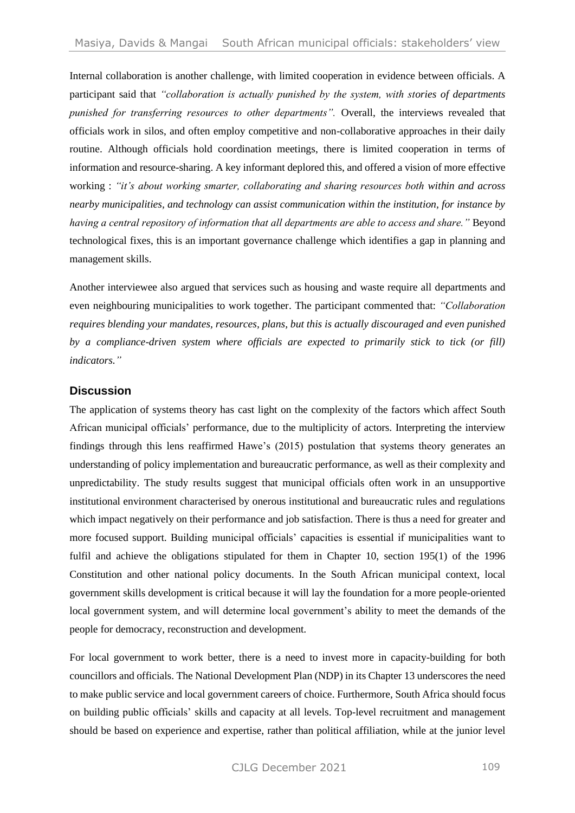Internal collaboration is another challenge, with limited cooperation in evidence between officials. A participant said that *"collaboration is actually punished by the system, with stories of departments punished for transferring resources to other departments".* Overall, the interviews revealed that officials work in silos, and often employ competitive and non-collaborative approaches in their daily routine. Although officials hold coordination meetings, there is limited cooperation in terms of information and resource-sharing. A key informant deplored this, and offered a vision of more effective working : *"it's about working smarter, collaborating and sharing resources both within and across nearby municipalities, and technology can assist communication within the institution, for instance by having a central repository of information that all departments are able to access and share."* Beyond technological fixes, this is an important governance challenge which identifies a gap in planning and management skills.

Another interviewee also argued that services such as housing and waste require all departments and even neighbouring municipalities to work together. The participant commented that: *"Collaboration requires blending your mandates, resources, plans, but this is actually discouraged and even punished by a compliance-driven system where officials are expected to primarily stick to tick (or fill) indicators."*

#### **Discussion**

The application of systems theory has cast light on the complexity of the factors which affect South African municipal officials' performance, due to the multiplicity of actors. Interpreting the interview findings through this lens reaffirmed Hawe's (2015) postulation that systems theory generates an understanding of policy implementation and bureaucratic performance, as well as their complexity and unpredictability. The study results suggest that municipal officials often work in an unsupportive institutional environment characterised by onerous institutional and bureaucratic rules and regulations which impact negatively on their performance and job satisfaction. There is thus a need for greater and more focused support. Building municipal officials' capacities is essential if municipalities want to fulfil and achieve the obligations stipulated for them in Chapter 10, section 195(1) of the 1996 Constitution and other national policy documents. In the South African municipal context, local government skills development is critical because it will lay the foundation for a more people-oriented local government system, and will determine local government's ability to meet the demands of the people for democracy, reconstruction and development.

For local government to work better, there is a need to invest more in capacity-building for both councillors and officials. The National Development Plan (NDP) in its Chapter 13 underscores the need to make public service and local government careers of choice. Furthermore, South Africa should focus on building public officials' skills and capacity at all levels. Top-level recruitment and management should be based on experience and expertise, rather than political affiliation, while at the junior level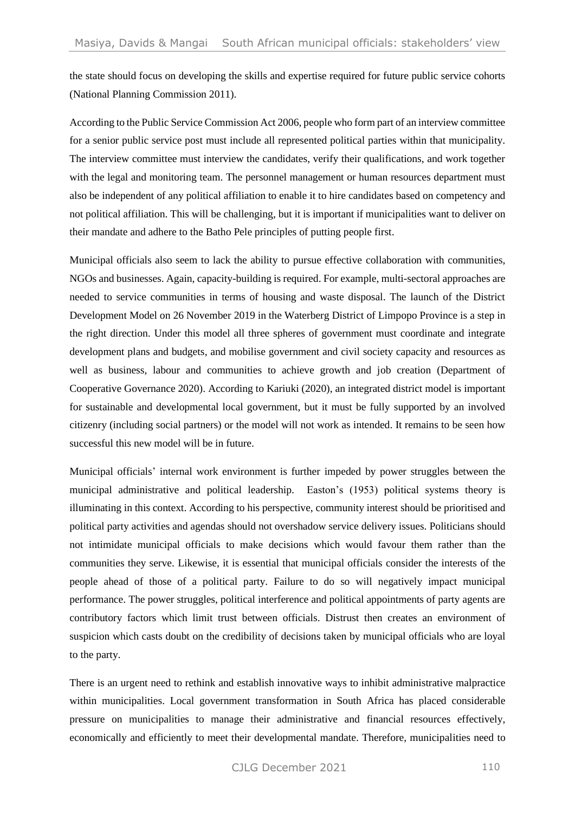the state should focus on developing the skills and expertise required for future public service cohorts (National Planning Commission 2011).

According to the Public Service Commission Act 2006, people who form part of an interview committee for a senior public service post must include all represented political parties within that municipality. The interview committee must interview the candidates, verify their qualifications, and work together with the legal and monitoring team. The personnel management or human resources department must also be independent of any political affiliation to enable it to hire candidates based on competency and not political affiliation. This will be challenging, but it is important if municipalities want to deliver on their mandate and adhere to the Batho Pele principles of putting people first.

Municipal officials also seem to lack the ability to pursue effective collaboration with communities, NGOs and businesses. Again, capacity-building is required. For example, multi-sectoral approaches are needed to service communities in terms of housing and waste disposal. The launch of the District Development Model on 26 November 2019 in the Waterberg District of Limpopo Province is a step in the right direction. Under this model all three spheres of government must coordinate and integrate development plans and budgets, and mobilise government and civil society capacity and resources as well as business, labour and communities to achieve growth and job creation (Department of Cooperative Governance 2020). According to Kariuki (2020), an integrated district model is important for sustainable and developmental local government, but it must be fully supported by an involved citizenry (including social partners) or the model will not work as intended. It remains to be seen how successful this new model will be in future.

Municipal officials' internal work environment is further impeded by power struggles between the municipal administrative and political leadership. Easton's (1953) political systems theory is illuminating in this context. According to his perspective, community interest should be prioritised and political party activities and agendas should not overshadow service delivery issues. Politicians should not intimidate municipal officials to make decisions which would favour them rather than the communities they serve. Likewise, it is essential that municipal officials consider the interests of the people ahead of those of a political party. Failure to do so will negatively impact municipal performance. The power struggles, political interference and political appointments of party agents are contributory factors which limit trust between officials. Distrust then creates an environment of suspicion which casts doubt on the credibility of decisions taken by municipal officials who are loyal to the party.

There is an urgent need to rethink and establish innovative ways to inhibit administrative malpractice within municipalities. Local government transformation in South Africa has placed considerable pressure on municipalities to manage their administrative and financial resources effectively, economically and efficiently to meet their developmental mandate. Therefore, municipalities need to

CII G December 2021 110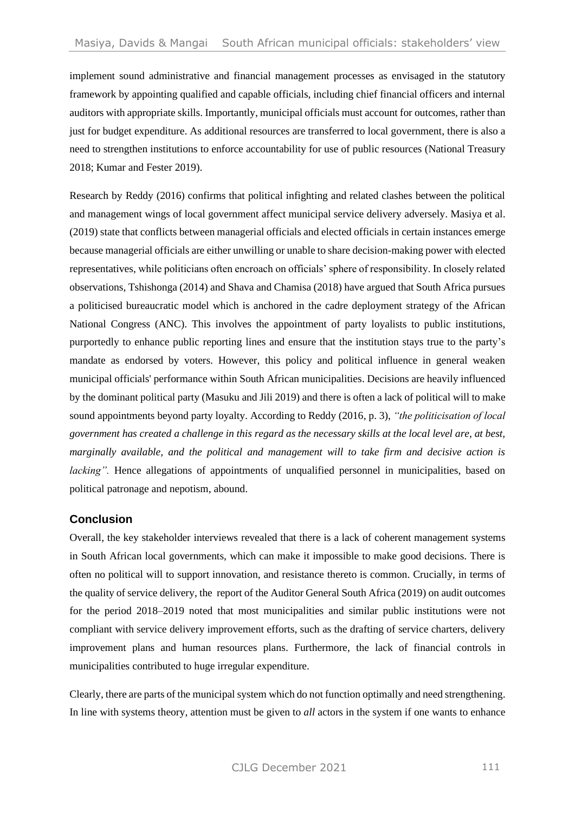implement sound administrative and financial management processes as envisaged in the statutory framework by appointing qualified and capable officials, including chief financial officers and internal auditors with appropriate skills. Importantly, municipal officials must account for outcomes, rather than just for budget expenditure. As additional resources are transferred to local government, there is also a need to strengthen institutions to enforce accountability for use of public resources (National Treasury 2018; Kumar and Fester 2019).

Research by Reddy (2016) confirms that political infighting and related clashes between the political and management wings of local government affect municipal service delivery adversely. Masiya et al. (2019) state that conflicts between managerial officials and elected officials in certain instances emerge because managerial officials are either unwilling or unable to share decision-making power with elected representatives, while politicians often encroach on officials' sphere of responsibility. In closely related observations, Tshishonga (2014) and Shava and Chamisa (2018) have argued that South Africa pursues a politicised bureaucratic model which is anchored in the cadre deployment strategy of the African National Congress (ANC). This involves the appointment of party loyalists to public institutions, purportedly to enhance public reporting lines and ensure that the institution stays true to the party's mandate as endorsed by voters. However, this policy and political influence in general weaken municipal officials' performance within South African municipalities. Decisions are heavily influenced by the dominant political party (Masuku and Jili 2019) and there is often a lack of political will to make sound appointments beyond party loyalty. According to Reddy (2016, p. 3), *"the politicisation of local government has created a challenge in this regard as the necessary skills at the local level are, at best, marginally available, and the political and management will to take firm and decisive action is lacking*". Hence allegations of appointments of unqualified personnel in municipalities, based on political patronage and nepotism, abound.

# **Conclusion**

Overall, the key stakeholder interviews revealed that there is a lack of coherent management systems in South African local governments, which can make it impossible to make good decisions. There is often no political will to support innovation, and resistance thereto is common. Crucially, in terms of the quality of service delivery, the report of the Auditor General South Africa (2019) on audit outcomes for the period 2018–2019 noted that most municipalities and similar public institutions were not compliant with service delivery improvement efforts, such as the drafting of service charters, delivery improvement plans and human resources plans. Furthermore, the lack of financial controls in municipalities contributed to huge irregular expenditure.

Clearly, there are parts of the municipal system which do not function optimally and need strengthening. In line with systems theory, attention must be given to *all* actors in the system if one wants to enhance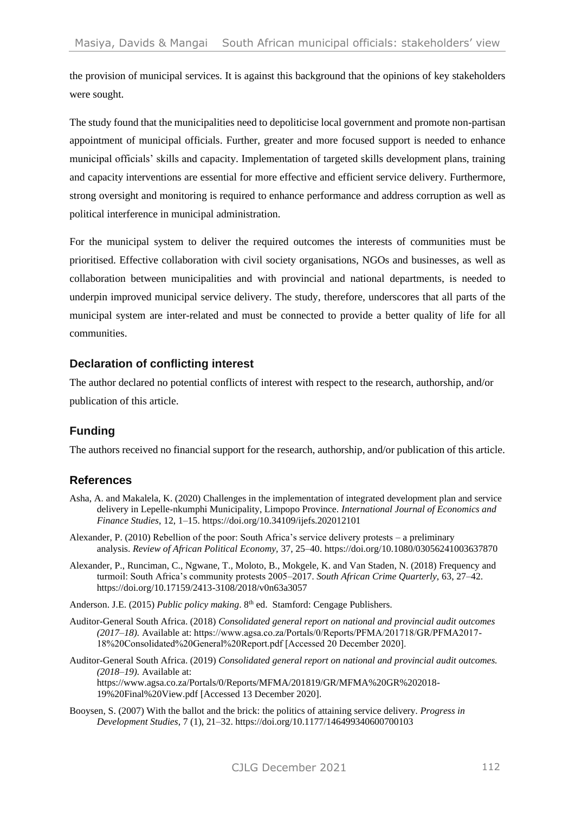the provision of municipal services. It is against this background that the opinions of key stakeholders were sought.

The study found that the municipalities need to depoliticise local government and promote non-partisan appointment of municipal officials. Further, greater and more focused support is needed to enhance municipal officials' skills and capacity. Implementation of targeted skills development plans, training and capacity interventions are essential for more effective and efficient service delivery. Furthermore, strong oversight and monitoring is required to enhance performance and address corruption as well as political interference in municipal administration.

For the municipal system to deliver the required outcomes the interests of communities must be prioritised. Effective collaboration with civil society organisations, NGOs and businesses, as well as collaboration between municipalities and with provincial and national departments, is needed to underpin improved municipal service delivery. The study, therefore, underscores that all parts of the municipal system are inter-related and must be connected to provide a better quality of life for all communities.

## **Declaration of conflicting interest**

The author declared no potential conflicts of interest with respect to the research, authorship, and/or publication of this article.

# **Funding**

The authors received no financial support for the research, authorship, and/or publication of this article.

# **References**

- Asha, A. and Makalela, K. (2020) Challenges in the implementation of integrated development plan and service delivery in Lepelle-nkumphi Municipality, Limpopo Province. *International Journal of Economics and Finance Studies*, 12, 1–15[. https://doi.org/10.34109/ijefs.202012101](https://doi.org/10.34109/ijefs.202012101)
- Alexander, P. (2010) Rebellion of the poor: South Africa's service delivery protests a preliminary analysis. *Review of African Political Economy,* 37, 25–40. https://doi.org/10.1080/03056241003637870
- Alexander, P., Runciman, C., Ngwane, T., Moloto, B., Mokgele, K. and Van Staden, N. (2018) Frequency and turmoil: South Africa's community protests 2005–2017. *South African Crime Quarterly,* 63, 27–42. https://doi.org/10.17159/2413-3108/2018/v0n63a3057
- Anderson. J.E. (2015) *Public policy making*. 8<sup>th</sup> ed. Stamford: Cengage Publishers.
- Auditor-General South Africa. (2018) *Consolidated general report on national and provincial audit outcomes (2017–18).* Available at: https://www.agsa.co.za/Portals/0/Reports/PFMA/201718/GR/PFMA2017- 18%20Consolidated%20General%20Report.pdf [Accessed 20 December 2020].
- Auditor-General South Africa. (2019) *Consolidated general report on national and provincial audit outcomes. (2018–19).* Available at: [https://www.agsa.co.za/Portals/0/Reports/MFMA/201819/GR/MFMA%20GR%202018-](https://www.agsa.co.za/Portals/0/Reports/MFMA/201819/GR/MFMA%20GR%202018-19%20Final%20View.pdf) [19%20Final%20View.pdf](https://www.agsa.co.za/Portals/0/Reports/MFMA/201819/GR/MFMA%20GR%202018-19%20Final%20View.pdf) [Accessed 13 December 2020].
- Booysen, S. (2007) With the ballot and the brick: the politics of attaining service delivery. *Progress in Development Studies*, 7 (1), 21–32. https://doi.org/10.1177/146499340600700103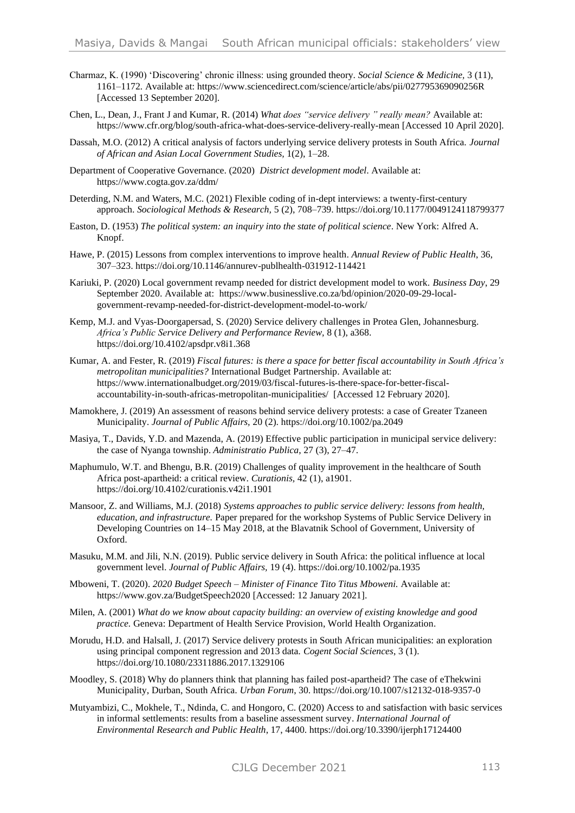- Charmaz, K. (1990) 'Discovering' chronic illness: using grounded theory. *Social Science & Medicine,* 3 (11), 1161–1172*.* Available at: <https://www.sciencedirect.com/science/article/abs/pii/027795369090256R> [Accessed 13 September 2020].
- Chen, L., Dean, J., Frant J and Kumar, R. (2014) *What does "service delivery " really mean?* Available at: https://www.cfr.org/blog/south-africa-what-does-service-delivery-really-mean [Accessed 10 April 2020].
- Dassah, M.O. (2012) A critical analysis of factors underlying service delivery protests in South Africa. *Journal of African and Asian Local Government Studies,* 1(2), 1–28.
- Department of Cooperative Governance. (2020) *District development model*. Available at: <https://www.cogta.gov.za/ddm/>
- Deterding, N.M. and Waters, M.C. (2021) Flexible coding of in-dept interviews: a twenty-first-century approach. *Sociological Methods & Research,* 5 (2), 708–739. https://doi.org/10.1177/0049124118799377
- Easton, D. (1953) *The political system: an inquiry into the state of political science*. New York: Alfred A. Knopf.
- Hawe, P. (2015) Lessons from complex interventions to improve health. *Annual Review of Public Health*, 36, 307–323. https://doi.org/10.1146/annurev-publhealth-031912-114421
- Kariuki, P. (2020) Local government revamp needed for district development model to work. *Business Day*, 29 September 2020. Available at: [https://www.businesslive.co.za/bd/opinion/2020-09-29-local](https://www.businesslive.co.za/bd/opinion/2020-09-29-local-government-revamp-needed-for-district-development-model-to-work/)[government-revamp-needed-for-district-development-model-to-work/](https://www.businesslive.co.za/bd/opinion/2020-09-29-local-government-revamp-needed-for-district-development-model-to-work/)
- Kemp, M.J. and Vyas-Doorgapersad, S. (2020) Service delivery challenges in Protea Glen, Johannesburg. *Africa's Public Service Delivery and Performance Review,* 8 (1), a368. https://doi.org/10.4102/apsdpr.v8i1.368
- Kumar, A. and Fester, R. (2019) *Fiscal futures: is there a space for better fiscal accountability in South Africa's metropolitan municipalities?* International Budget Partnership. Available at: https://www.internationalbudget.org/2019/03/fiscal-futures-is-there-space-for-better-fiscalaccountability-in-south-africas-metropolitan-municipalities/ [Accessed 12 February 2020].
- Mamokhere, J. (2019) An assessment of reasons behind service delivery protests: a case of Greater Tzaneen Municipality. *Journal of Public Affairs,* 20 (2). https://doi.org/10.1002/pa.2049
- Masiya, T., Davids, Y.D. and Mazenda, A. (2019) Effective public participation in municipal service delivery: the case of Nyanga township. *Administratio Publica*, 27 (3), 27–47.
- Maphumulo, W.T. and Bhengu, B.R. (2019) Challenges of quality improvement in the healthcare of South Africa post-apartheid: a critical review. *Curationis,* 42 (1), a1901. https://doi.org/10.4102/curationis.v42i1.1901
- Mansoor, Z. and Williams, M.J. (2018) *Systems approaches to public service delivery: lessons from health, education, and infrastructure.* Paper prepared for the workshop Systems of Public Service Delivery in Developing Countries on 14–15 May 2018, at the Blavatnik School of Government, University of Oxford.
- Masuku, M.M. and Jili, N.N. (2019). Public service delivery in South Africa: the political influence at local government level. *Journal of Public Affairs,* 19 (4). https://doi.org/10.1002/pa.1935
- Mboweni, T. (2020). *2020 Budget Speech – Minister of Finance Tito Titus Mboweni.* Available at: <https://www.gov.za/BudgetSpeech2020> [Accessed: 12 January 2021].
- Milen, A. (2001) *What do we know about capacity building: an overview of existing knowledge and good practice.* Geneva: Department of Health Service Provision, World Health Organization.
- Morudu, H.D. and Halsall, J. (2017) Service delivery protests in South African municipalities: an exploration using principal component regression and 2013 data. *Cogent Social Sciences*, 3 (1). https://doi.org/10.1080/23311886.2017.1329106
- Moodley, S. (2018) Why do planners think that planning has failed post-apartheid? The case of eThekwini Municipality, Durban, South Africa. *Urban Forum*, 30. https://doi.org/10.1007/s12132-018-9357-0
- Mutyambizi, C., Mokhele, T., Ndinda, C. and Hongoro, C. (2020) Access to and satisfaction with basic services in informal settlements: results from a baseline assessment survey. *International Journal of Environmental Research and Public Health*, 17, 4400. https://doi.org/10.3390/ijerph17124400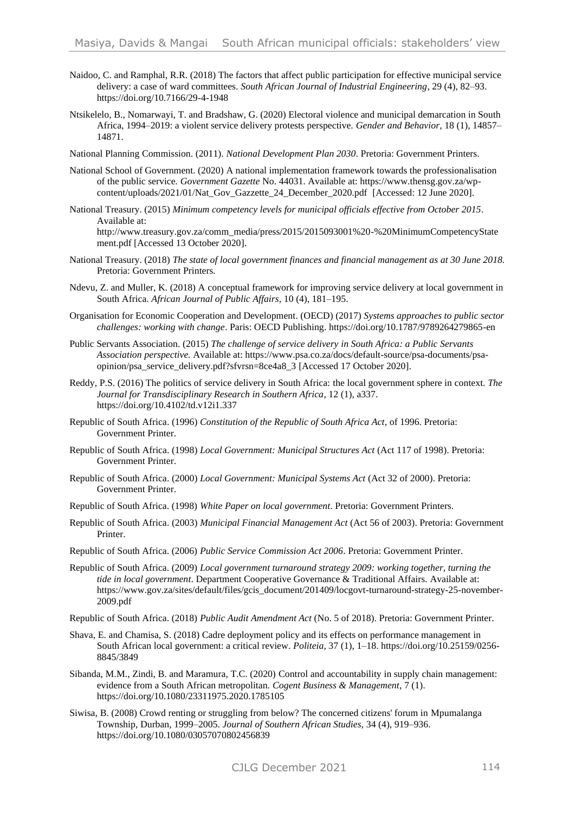- Naidoo, C. and Ramphal, R.R. (2018) The factors that affect public participation for effective municipal service delivery: a case of ward committees. *South African Journal of Industrial Engineering*, 29 (4), 82–93. https://doi.org/10.7166/29-4-1948
- Ntsikelelo, B., Nomarwayi, T. and Bradshaw, G. (2020) Electoral violence and municipal demarcation in South Africa, 1994–2019: a violent service delivery protests perspective. *Gender and Behavior*, 18 (1), 14857– 14871.
- National Planning Commission. (2011). *National Development Plan 2030*. Pretoria: Government Printers.
- National School of Government. (2020) A national implementation framework towards the professionalisation of the public service*. Government Gazette* No. 44031. Available at: [https://www.thensg.gov.za/wp](https://www.thensg.gov.za/wp-content/uploads/2021/01/Nat_Gov_Gazzette_24_December_2020.pdf)[content/uploads/2021/01/Nat\\_Gov\\_Gazzette\\_24\\_December\\_2020.pdf](https://www.thensg.gov.za/wp-content/uploads/2021/01/Nat_Gov_Gazzette_24_December_2020.pdf) [Accessed: 12 June 2020].
- National Treasury. (2015) *Minimum competency levels for municipal officials effective from October 2015*. Available at:

[http://www.treasury.gov.za/comm\\_media/press/2015/2015093001%20-%20MinimumCompetencyState](http://www.treasury.gov.za/comm_media/press/2015/2015093001%20-%20MinimumCompetencyStatement.pdf) [ment.pdf](http://www.treasury.gov.za/comm_media/press/2015/2015093001%20-%20MinimumCompetencyStatement.pdf) [Accessed 13 October 2020].

- National Treasury. (2018) *The state of local government finances and financial management as at 30 June 2018.* Pretoria: Government Printers.
- Ndevu, Z. and Muller, K. (2018) A conceptual framework for improving service delivery at local government in South Africa. *African Journal of Public Affairs*, 10 (4), 181–195.
- Organisation for Economic Cooperation and Development. (OECD) (2017) *Systems approaches to public sector challenges: working with change*. Paris: OECD Publishing. https://doi.org/10.1787/9789264279865-en
- Public Servants Association. (2015) *The challenge of service delivery in South Africa: a Public Servants Association perspective.* Available at: https://www.psa.co.za/docs/default-source/psa-documents/psaopinion/psa\_service\_delivery.pdf?sfvrsn=8ce4a8\_3 [Accessed 17 October 2020].
- Reddy, P.S. (2016) The politics of service delivery in South Africa: the local government sphere in context. *The Journal for Transdisciplinary Research in Southern Africa,* 12 (1), a337. https://doi.org/10.4102/td.v12i1.337
- Republic of South Africa. (1996) *Constitution of the Republic of South Africa Act*, of 1996. Pretoria: Government Printer.
- Republic of South Africa. (1998) *Local Government: Municipal Structures Act* (Act 117 of 1998). Pretoria: Government Printer.
- Republic of South Africa. (2000) *Local Government: Municipal Systems Act* (Act 32 of 2000). Pretoria: Government Printer.
- Republic of South Africa. (1998) *White Paper on local government*. Pretoria: Government Printers.
- Republic of South Africa. (2003) *Municipal Financial Management Act* (Act 56 of 2003). Pretoria: Government Printer.
- Republic of South Africa. (2006) *Public Service Commission Act 2006*. Pretoria: Government Printer.
- Republic of South Africa. (2009) *Local government turnaround strategy 2009: working together, turning the tide in local government*. Department Cooperative Governance & Traditional Affairs. Available at: [https://www.gov.za/sites/default/files/gcis\\_document/201409/locgovt-turnaround-strategy-25-november-](https://www.gov.za/sites/default/files/gcis_document/201409/locgovt-turnaround-strategy-25-november-2009.pdf)[2009.pdf](https://www.gov.za/sites/default/files/gcis_document/201409/locgovt-turnaround-strategy-25-november-2009.pdf)
- Republic of South Africa. (2018) *Public Audit Amendment Act* (No. 5 of 2018). Pretoria: Government Printer.
- Shava, E. and Chamisa, S. (2018) Cadre deployment policy and its effects on performance management in South African local government: a critical review. *Politeia,* 37 (1), 1–18. https://doi.org/10.25159/0256- 8845/3849
- Sibanda, M.M., Zindi, B. and Maramura, T.C. (2020) Control and accountability in supply chain management: evidence from a South African metropolitan. *Cogent Business & Management*, 7 (1). https://doi.org/10.1080/23311975.2020.1785105
- Siwisa, B. (2008) Crowd renting or struggling from below? The concerned citizens' forum in Mpumalanga Township, Durban, 1999–2005. *Journal of Southern African Studies,* 34 (4), 919–936. https://doi.org/10.1080/03057070802456839